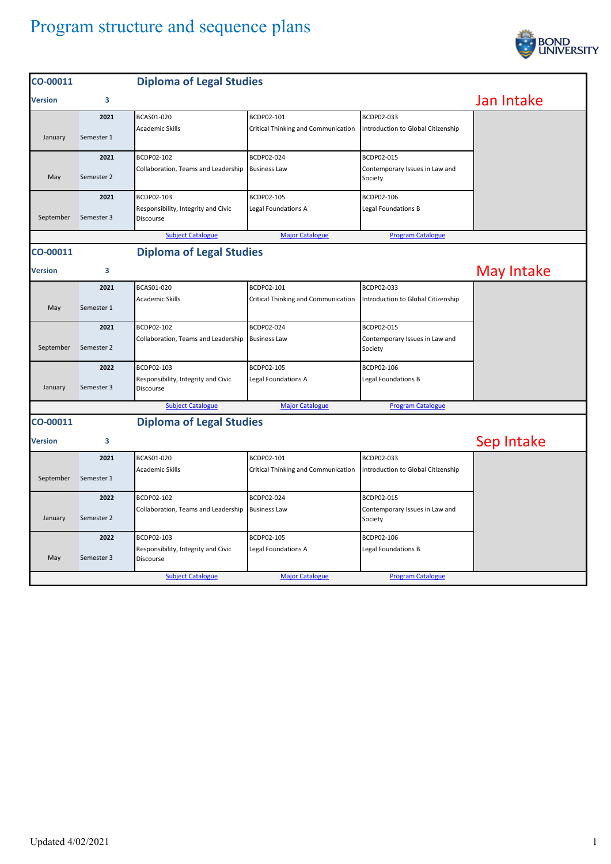## Program structure and sequence plans